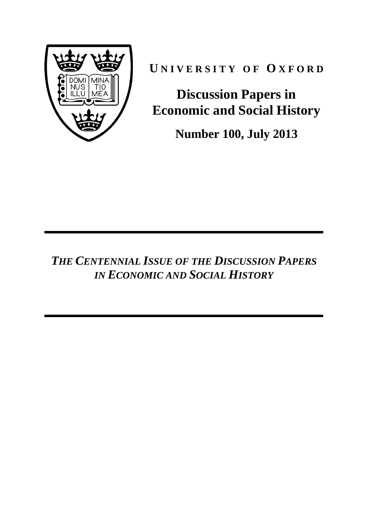

**U N I V E R S I T Y O F O X F O R D**

**Discussion Papers in Economic and Social History**

**Number 100, July 2013**

*THE CENTENNIAL ISSUE OF THE DISCUSSION PAPERS IN ECONOMIC AND SOCIAL HISTORY*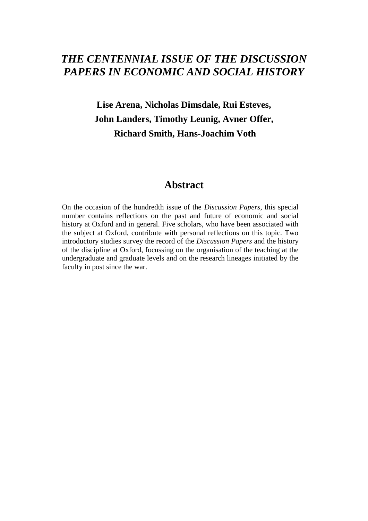# *THE CENTENNIAL ISSUE OF THE DISCUSSION PAPERS IN ECONOMIC AND SOCIAL HISTORY*

# **Lise Arena, Nicholas Dimsdale, Rui Esteves, John Landers, Timothy Leunig, Avner Offer, Richard Smith, Hans-Joachim Voth**

# **Abstract**

On the occasion of the hundredth issue of the *Discussion Papers*, this special number contains reflections on the past and future of economic and social history at Oxford and in general. Five scholars, who have been associated with the subject at Oxford, contribute with personal reflections on this topic. Two introductory studies survey the record of the *Discussion Papers* and the history of the discipline at Oxford, focussing on the organisation of the teaching at the undergraduate and graduate levels and on the research lineages initiated by the faculty in post since the war.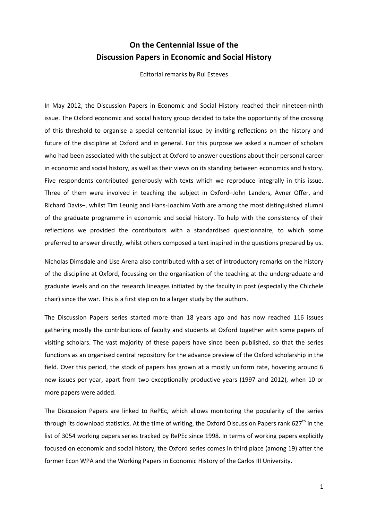# **On the Centennial Issue of the Discussion Papers in Economic and Social History**

Editorial remarks by Rui Esteves

In May 2012, the Discussion Papers in Economic and Social History reached their nineteen-ninth issue. The Oxford economic and social history group decided to take the opportunity of the crossing of this threshold to organise a special centennial issue by inviting reflections on the history and future of the discipline at Oxford and in general. For this purpose we asked a number of scholars who had been associated with the subject at Oxford to answer questions about their personal career in economic and social history, as well as their views on its standing between economics and history. Five respondents contributed generously with texts which we reproduce integrally in this issue. Three of them were involved in teaching the subject in Oxford–John Landers, Avner Offer, and Richard Davis–, whilst Tim Leunig and Hans-Joachim Voth are among the most distinguished alumni of the graduate programme in economic and social history. To help with the consistency of their reflections we provided the contributors with a standardised questionnaire, to which some preferred to answer directly, whilst others composed a text inspired in the questions prepared by us.

Nicholas Dimsdale and Lise Arena also contributed with a set of introductory remarks on the history of the discipline at Oxford, focussing on the organisation of the teaching at the undergraduate and graduate levels and on the research lineages initiated by the faculty in post (especially the Chichele chair) since the war. This is a first step on to a larger study by the authors.

The Discussion Papers series started more than 18 years ago and has now reached 116 issues gathering mostly the contributions of faculty and students at Oxford together with some papers of visiting scholars. The vast majority of these papers have since been published, so that the series functions as an organised central repository for the advance preview of the Oxford scholarship in the field. Over this period, the stock of papers has grown at a mostly uniform rate, hovering around 6 new issues per year, apart from two exceptionally productive years (1997 and 2012), when 10 or more papers were added.

The Discussion Papers are linked to RePEc, which allows monitoring the popularity of the series through its download statistics. At the time of writing, the Oxford Discussion Papers rank 627<sup>th</sup> in the list of 3054 working papers series tracked by RePEc since 1998. In terms of working papers explicitly focused on economic and social history, the Oxford series comes in third place (among 19) after the former Econ WPA and the Working Papers in Economic History of the Carlos III University.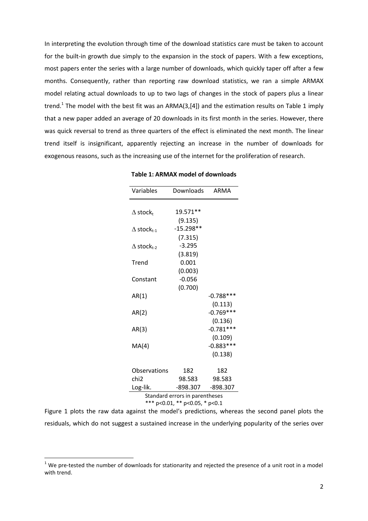In interpreting the evolution through time of the download statistics care must be taken to account for the built-in growth due simply to the expansion in the stock of papers. With a few exceptions, most papers enter the series with a large number of downloads, which quickly taper off after a few months. Consequently, rather than reporting raw download statistics, we ran a simple ARMAX model relating actual downloads to up to two lags of changes in the stock of papers plus a linear trend.<sup>1</sup> The model with the best fit was an ARMA(3,[4]) and the estimation results on Table 1 imply that a new paper added an average of 20 downloads in its first month in the series. However, there was quick reversal to trend as three quarters of the effect is eliminated the next month. The linear trend itself is insignificant, apparently rejecting an increase in the number of downloads for exogenous reasons, such as the increasing use of the internet for the proliferation of research.

| Variables                      | Downloads   | ARMA                   |
|--------------------------------|-------------|------------------------|
|                                | 19.571**    |                        |
| $\Delta$ stock,                | (9.135)     |                        |
| $\Delta$ stock <sub>t-1</sub>  | $-15.298**$ |                        |
|                                | (7.315)     |                        |
| $\Delta$ stock <sub>t-2</sub>  | $-3.295$    |                        |
|                                | (3.819)     |                        |
| Trend                          | 0.001       |                        |
|                                | (0.003)     |                        |
| Constant                       | $-0.056$    |                        |
|                                | (0.700)     |                        |
| AR(1)                          |             | $-0.788***$            |
|                                |             | (0.113)                |
| AR(2)                          |             | $-0.769***$            |
|                                |             | (0.136)<br>$-0.781***$ |
| AR(3)                          |             | (0.109)                |
| MA(4)                          |             | $-0.883***$            |
|                                |             | (0.138)                |
|                                |             |                        |
| Observations                   | 182         | 182                    |
| chi <sub>2</sub>               | 98.583      | 98.583                 |
| Log-lik.                       | -898.307    | $-898.307$             |
| Standard errors in parentheses |             |                        |
| *** p<0.01, ** p<0.05, * p<0.1 |             |                        |

**Table 1: ARMAX model of downloads**

Figure 1 plots the raw data against the model's predictions, whereas the second panel plots the residuals, which do not suggest a sustained increase in the underlying popularity of the series over

 $1$  We pre-tested the number of downloads for stationarity and rejected the presence of a unit root in a model with trend.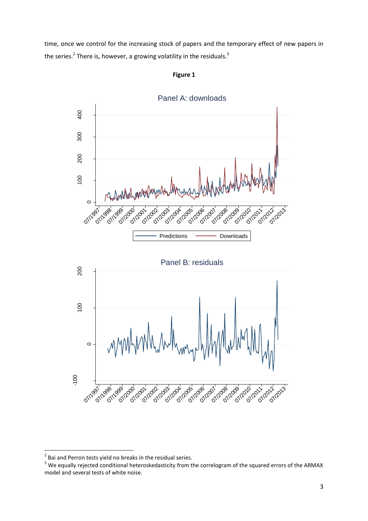time, once we control for the increasing stock of papers and the temporary effect of new papers in the series.<sup>2</sup> There is, however, a growing volatility in the residuals.<sup>3</sup>



**Figure 1**

 2 Bai and Perron tests yield no breaks in the residual series.

<sup>&</sup>lt;sup>3</sup> We equally rejected conditional heteroskedasticity from the correlogram of the squared errors of the ARMAX model and several tests of white noise.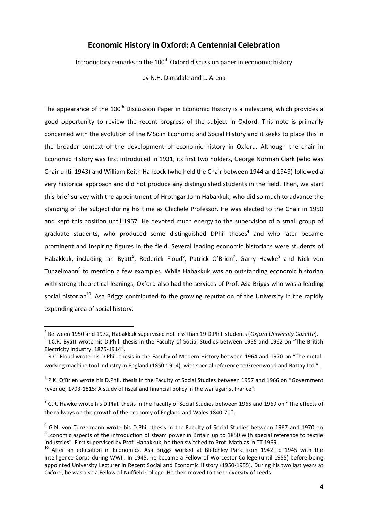## **Economic History in Oxford: A Centennial Celebration**

Introductory remarks to the  $100<sup>th</sup>$  Oxford discussion paper in economic history

by N.H. Dimsdale and L. Arena

The appearance of the 100<sup>th</sup> Discussion Paper in Economic History is a milestone, which provides a good opportunity to review the recent progress of the subject in Oxford. This note is primarily concerned with the evolution of the MSc in Economic and Social History and it seeks to place this in the broader context of the development of economic history in Oxford. Although the chair in Economic History was first introduced in 1931, its first two holders, George Norman Clark (who was Chair until 1943) and William Keith Hancock (who held the Chair between 1944 and 1949) followed a very historical approach and did not produce any distinguished students in the field. Then, we start this brief survey with the appointment of Hrothgar John Habakkuk, who did so much to advance the standing of the subject during his time as Chichele Professor. He was elected to the Chair in 1950 and kept this position until 1967. He devoted much energy to the supervision of a small group of graduate students, who produced some distinguished DPhil theses<sup>4</sup> and who later became prominent and inspiring figures in the field. Several leading economic historians were students of Habakkuk, including Ian Byatt<sup>5</sup>, Roderick Floud<sup>6</sup>, Patrick O'Brien<sup>7</sup>, Garry Hawke<sup>8</sup> and Nick von Tunzelmann<sup>9</sup> to mention a few examples. While Habakkuk was an outstanding economic historian with strong theoretical leanings, Oxford also had the services of Prof. Asa Briggs who was a leading social historian<sup>10</sup>. Asa Briggs contributed to the growing reputation of the University in the rapidly expanding area of social history.

<sup>4</sup> Between 1950 and 1972, Habakkuk supervised not less than 19 D.Phil. students (*Oxford University Gazette*).

<sup>&</sup>lt;sup>5</sup> I.C.R. Byatt wrote his D.Phil. thesis in the Faculty of Social Studies between 1955 and 1962 on "The British Electricity Industry, 1875-1914".

 $<sup>6</sup>$  R.C. Floud wrote his D.Phil. thesis in the Faculty of Modern History between 1964 and 1970 on "The metal-</sup> working machine tool industry in England (1850-1914), with special reference to Greenwood and Battay Ltd.".

 $<sup>7</sup>$  P.K. O'Brien wrote his D.Phil. thesis in the Faculty of Social Studies between 1957 and 1966 on "Government</sup> revenue, 1793-1815: A study of fiscal and financial policy in the war against France".

 $^8$  G.R. Hawke wrote his D.Phil. thesis in the Faculty of Social Studies between 1965 and 1969 on "The effects of the railways on the growth of the economy of England and Wales 1840-70".

<sup>&</sup>lt;sup>9</sup> G.N. von Tunzelmann wrote his D.Phil. thesis in the Faculty of Social Studies between 1967 and 1970 on "Economic aspects of the introduction of steam power in Britain up to 1850 with special reference to textile industries". First supervised by Prof. Habakkuk, he then switched to Prof. Mathias in TT 1969.

<sup>&</sup>lt;sup>10</sup> After an education in Economics, Asa Briggs worked at Bletchley Park from 1942 to 1945 with the Intelligence Corps during WWII. In 1945, he became a Fellow of Worcester College (until 1955) before being appointed University Lecturer in Recent Social and Economic History (1950-1955). During his two last years at Oxford, he was also a Fellow of Nuffield College. He then moved to the University of Leeds.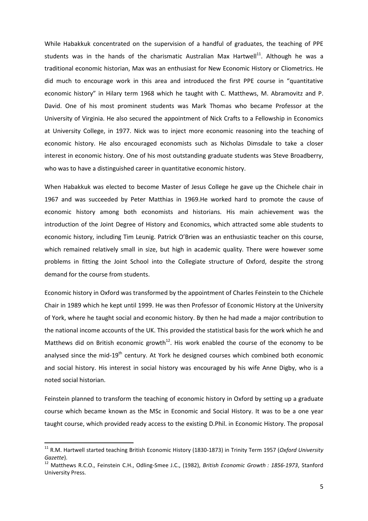While Habakkuk concentrated on the supervision of a handful of graduates, the teaching of PPE students was in the hands of the charismatic Australian Max Hartwell $^{11}$ . Although he was a traditional economic historian, Max was an enthusiast for New Economic History or Cliometrics. He did much to encourage work in this area and introduced the first PPE course in "quantitative economic history" in Hilary term 1968 which he taught with C. Matthews, M. Abramovitz and P. David. One of his most prominent students was Mark Thomas who became Professor at the University of Virginia. He also secured the appointment of Nick Crafts to a Fellowship in Economics at University College, in 1977. Nick was to inject more economic reasoning into the teaching of economic history. He also encouraged economists such as Nicholas Dimsdale to take a closer interest in economic history. One of his most outstanding graduate students was Steve Broadberry, who was to have a distinguished career in quantitative economic history.

When Habakkuk was elected to become Master of Jesus College he gave up the Chichele chair in 1967 and was succeeded by Peter Matthias in 1969.He worked hard to promote the cause of economic history among both economists and historians. His main achievement was the introduction of the Joint Degree of History and Economics, which attracted some able students to economic history, including Tim Leunig. Patrick O'Brien was an enthusiastic teacher on this course, which remained relatively small in size, but high in academic quality. There were however some problems in fitting the Joint School into the Collegiate structure of Oxford, despite the strong demand for the course from students.

Economic history in Oxford was transformed by the appointment of Charles Feinstein to the Chichele Chair in 1989 which he kept until 1999. He was then Professor of Economic History at the University of York, where he taught social and economic history. By then he had made a major contribution to the national income accounts of the UK. This provided the statistical basis for the work which he and Matthews did on British economic growth<sup>12</sup>. His work enabled the course of the economy to be analysed since the mid- $19<sup>th</sup>$  century. At York he designed courses which combined both economic and social history. His interest in social history was encouraged by his wife Anne Digby, who is a noted social historian.

Feinstein planned to transform the teaching of economic history in Oxford by setting up a graduate course which became known as the MSc in Economic and Social History. It was to be a one year taught course, which provided ready access to the existing D.Phil. in Economic History. The proposal

<sup>11</sup> R.M. Hartwell started teaching British Economic History (1830-1873) in Trinity Term 1957 (*Oxford University Gazette*).

<sup>12</sup> Matthews R.C.O., Feinstein C.H., Odling-Smee J.C., (1982), *British Economic Growth : 1856-1973*, Stanford University Press.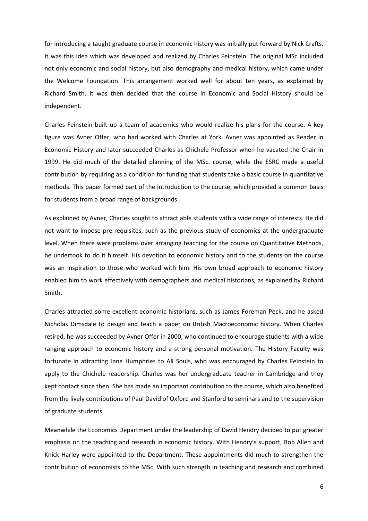for introducing a taught graduate course in economic history was initially put forward by Nick Crafts. It was this idea which was developed and realized by Charles Feinstein. The original MSc included not only economic and social history, but also demography and medical history, which came under the Welcome Foundation. This arrangement worked well for about ten years, as explained by Richard Smith. It was then decided that the course in Economic and Social History should be independent.

Charles Feinstein built up a team of academics who would realize his plans for the course. A key figure was Avner Offer, who had worked with Charles at York. Avner was appointed as Reader in Economic History and later succeeded Charles as Chichele Professor when he vacated the Chair in 1999. He did much of the detailed planning of the MSc. course, while the ESRC made a useful contribution by requiring as a condition for funding that students take a basic course in quantitative methods. This paper formed part of the introduction to the course, which provided a common basis for students from a broad range of backgrounds.

As explained by Avner, Charles sought to attract able students with a wide range of interests. He did not want to impose pre-requisites, such as the previous study of economics at the undergraduate level. When there were problems over arranging teaching for the course on Quantitative Methods, he undertook to do it himself. His devotion to economic history and to the students on the course was an inspiration to those who worked with him. His own broad approach to economic history enabled him to work effectively with demographers and medical historians, as explained by Richard Smith.

Charles attracted some excellent economic historians, such as James Foreman Peck, and he asked Nicholas Dimsdale to design and teach a paper on British Macroeconomic history. When Charles retired, he was succeeded by Avner Offer in 2000, who continued to encourage students with a wide ranging approach to economic history and a strong personal motivation. The History Faculty was fortunate in attracting Jane Humphries to All Souls, who was encouraged by Charles Feinstein to apply to the Chichele readership. Charles was her undergraduate teacher in Cambridge and they kept contact since then. She has made an important contribution to the course, which also benefited from the lively contributions of Paul David of Oxford and Stanford to seminars and to the supervision of graduate students.

Meanwhile the Economics Department under the leadership of David Hendry decided to put greater emphasis on the teaching and research in economic history. With Hendry's support, Bob Allen and Knick Harley were appointed to the Department. These appointments did much to strengthen the contribution of economists to the MSc. With such strength in teaching and research and combined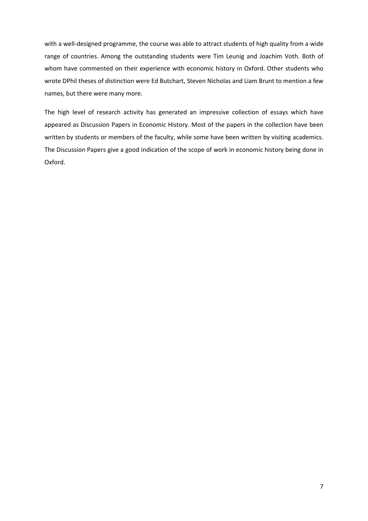with a well-designed programme, the course was able to attract students of high quality from a wide range of countries. Among the outstanding students were Tim Leunig and Joachim Voth. Both of whom have commented on their experience with economic history in Oxford. Other students who wrote DPhil theses of distinction were Ed Butchart, Steven Nicholas and Liam Brunt to mention a few names, but there were many more.

The high level of research activity has generated an impressive collection of essays which have appeared as Discussion Papers in Economic History. Most of the papers in the collection have been written by students or members of the faculty, while some have been written by visiting academics. The Discussion Papers give a good indication of the scope of work in economic history being done in Oxford.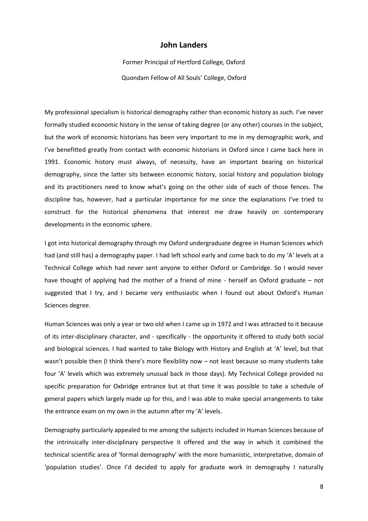### **John Landers**

Former Principal of Hertford College, Oxford Quondam Fellow of All Souls' College, Oxford

My professional specialism is historical demography rather than economic history as such. I've never formally studied economic history in the sense of taking degree (or any other) courses in the subject, but the work of economic historians has been very important to me in my demographic work, and I've benefitted greatly from contact with economic historians in Oxford since I came back here in 1991. Economic history must always, of necessity, have an important bearing on historical demography, since the latter sits between economic history, social history and population biology and its practitioners need to know what's going on the other side of each of those fences. The discipline has, however, had a particular importance for me since the explanations I've tried to construct for the historical phenomena that interest me draw heavily on contemporary developments in the economic sphere.

I got into historical demography through my Oxford undergraduate degree in Human Sciences which had (and still has) a demography paper. I had left school early and come back to do my 'A' levels at a Technical College which had never sent anyone to either Oxford or Cambridge. So I would never have thought of applying had the mother of a friend of mine - herself an Oxford graduate – not suggested that I try, and I became very enthusiastic when I found out about Oxford's Human Sciences degree.

Human Sciences was only a year or two old when I came up in 1972 and I was attracted to it because of its inter-disciplinary character, and - specifically - the opportunity it offered to study both social and biological sciences. I had wanted to take Biology with History and English at 'A' level, but that wasn't possible then (I think there's more flexibility now - not least because so many students take four 'A' levels which was extremely unusual back in those days). My Technical College provided no specific preparation for Oxbridge entrance but at that time it was possible to take a schedule of general papers which largely made up for this, and I was able to make special arrangements to take the entrance exam on my own in the autumn after my 'A' levels.

Demography particularly appealed to me among the subjects included in Human Sciences because of the intrinsically inter-disciplinary perspective it offered and the way in which it combined the technical scientific area of 'formal demography' with the more humanistic, interpretative, domain of 'population studies'. Once I'd decided to apply for graduate work in demography I naturally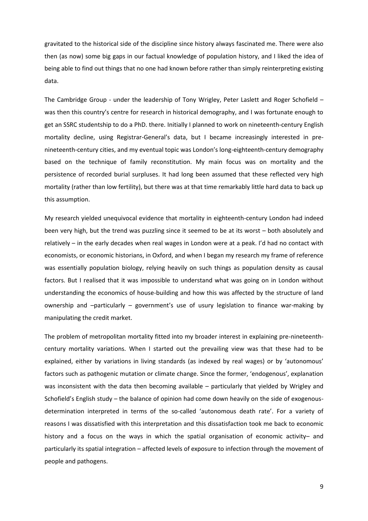gravitated to the historical side of the discipline since history always fascinated me. There were also then (as now) some big gaps in our factual knowledge of population history, and I liked the idea of being able to find out things that no one had known before rather than simply reinterpreting existing data.

The Cambridge Group - under the leadership of Tony Wrigley, Peter Laslett and Roger Schofield – was then this country's centre for research in historical demography, and I was fortunate enough to get an SSRC studentship to do a PhD. there. Initially I planned to work on nineteenth-century English mortality decline, using Registrar-General's data, but I became increasingly interested in prenineteenth-century cities, and my eventual topic was London's long-eighteenth-century demography based on the technique of family reconstitution. My main focus was on mortality and the persistence of recorded burial surpluses. It had long been assumed that these reflected very high mortality (rather than low fertility), but there was at that time remarkably little hard data to back up this assumption.

My research yielded unequivocal evidence that mortality in eighteenth-century London had indeed been very high, but the trend was puzzling since it seemed to be at its worst – both absolutely and relatively – in the early decades when real wages in London were at a peak. I'd had no contact with economists, or economic historians, in Oxford, and when I began my research my frame of reference was essentially population biology, relying heavily on such things as population density as causal factors. But I realised that it was impossible to understand what was going on in London without understanding the economics of house-building and how this was affected by the structure of land ownership and –particularly – government's use of usury legislation to finance war-making by manipulating the credit market.

The problem of metropolitan mortality fitted into my broader interest in explaining pre-nineteenthcentury mortality variations. When I started out the prevailing view was that these had to be explained, either by variations in living standards (as indexed by real wages) or by 'autonomous' factors such as pathogenic mutation or climate change. Since the former, 'endogenous', explanation was inconsistent with the data then becoming available – particularly that yielded by Wrigley and Schofield's English study – the balance of opinion had come down heavily on the side of exogenousdetermination interpreted in terms of the so-called 'autonomous death rate'. For a variety of reasons I was dissatisfied with this interpretation and this dissatisfaction took me back to economic history and a focus on the ways in which the spatial organisation of economic activity- and particularly its spatial integration – affected levels of exposure to infection through the movement of people and pathogens.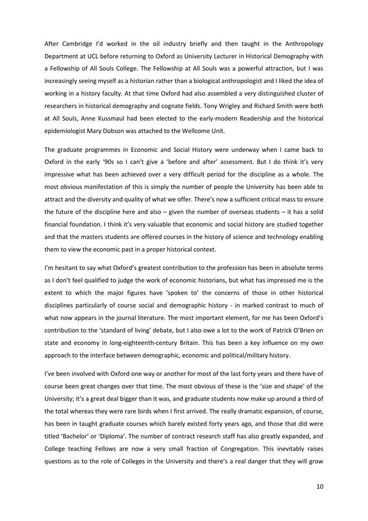After Cambridge I'd worked in the oil industry briefly and then taught in the Anthropology Department at UCL before returning to Oxford as University Lecturer in Historical Demography with a Fellowship of All Souls College. The Fellowship at All Souls was a powerful attraction, but I was increasingly seeing myself as a historian rather than a biological anthropologist and I liked the idea of working in a history faculty. At that time Oxford had also assembled a very distinguished cluster of researchers in historical demography and cognate fields. Tony Wrigley and Richard Smith were both at All Souls, Anne Kussmaul had been elected to the early-modern Readership and the historical epidemiologist Mary Dobson was attached to the Wellcome Unit.

The graduate programmes in Economic and Social History were underway when I came back to Oxford in the early '90s so I can't give a 'before and after' assessment. But I do think it's very impressive what has been achieved over a very difficult period for the discipline as a whole. The most obvious manifestation of this is simply the number of people the University has been able to attract and the diversity and quality of what we offer. There's now a sufficient critical mass to ensure the future of the discipline here and also – given the number of overseas students – it has a solid financial foundation. I think it's very valuable that economic and social history are studied together and that the masters students are offered courses in the history of science and technology enabling them to view the economic past in a proper historical context.

I'm hesitant to say what Oxford's greatest contribution to the profession has been in absolute terms as I don't feel qualified to judge the work of economic historians, but what has impressed me is the extent to which the major figures have 'spoken to' the concerns of those in other historical disciplines particularly of course social and demographic history - in marked contrast to much of what now appears in the journal literature. The most important element, for me has been Oxford's contribution to the 'standard of living' debate, but I also owe a lot to the work of Patrick O'Brien on state and economy in long-eighteenth-century Britain. This has been a key influence on my own approach to the interface between demographic, economic and political/military history.

I've been involved with Oxford one way or another for most of the last forty years and there have of course been great changes over that time. The most obvious of these is the 'size and shape' of the University; it's a great deal bigger than it was, and graduate students now make up around a third of the total whereas they were rare birds when I first arrived. The really dramatic expansion, of course, has been in taught graduate courses which barely existed forty years ago, and those that did were titled 'Bachelor' or 'Diploma'. The number of contract research staff has also greatly expanded, and College teaching Fellows are now a very small fraction of Congregation. This inevitably raises questions as to the role of Colleges in the University and there's a real danger that they will grow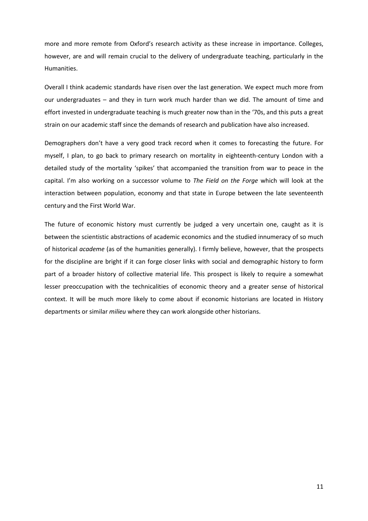more and more remote from Oxford's research activity as these increase in importance. Colleges, however, are and will remain crucial to the delivery of undergraduate teaching, particularly in the Humanities.

Overall I think academic standards have risen over the last generation. We expect much more from our undergraduates – and they in turn work much harder than we did. The amount of time and effort invested in undergraduate teaching is much greater now than in the '70s, and this puts a great strain on our academic staff since the demands of research and publication have also increased.

Demographers don't have a very good track record when it comes to forecasting the future. For myself, I plan, to go back to primary research on mortality in eighteenth-century London with a detailed study of the mortality 'spikes' that accompanied the transition from war to peace in the capital. I'm also working on a successor volume to *The Field on the Forge* which will look at the interaction between population, economy and that state in Europe between the late seventeenth century and the First World War.

The future of economic history must currently be judged a very uncertain one, caught as it is between the scientistic abstractions of academic economics and the studied innumeracy of so much of historical *academe* (as of the humanities generally). I firmly believe, however, that the prospects for the discipline are bright if it can forge closer links with social and demographic history to form part of a broader history of collective material life. This prospect is likely to require a somewhat lesser preoccupation with the technicalities of economic theory and a greater sense of historical context. It will be much more likely to come about if economic historians are located in History departments or similar *milieu* where they can work alongside other historians.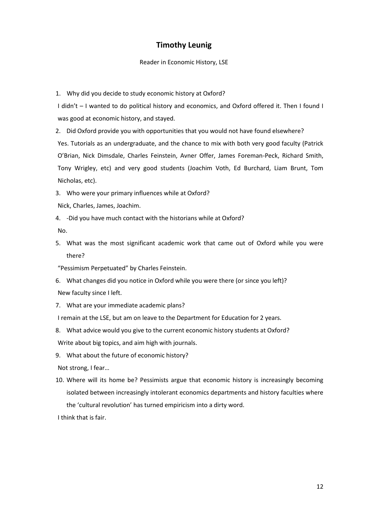## **Timothy Leunig**

#### Reader in Economic History, LSE

1. Why did you decide to study economic history at Oxford?

I didn't – I wanted to do political history and economics, and Oxford offered it. Then I found I was good at economic history, and stayed.

2. Did Oxford provide you with opportunities that you would not have found elsewhere?

Yes. Tutorials as an undergraduate, and the chance to mix with both very good faculty (Patrick O'Brian, Nick Dimsdale, Charles Feinstein, Avner Offer, James Foreman-Peck, Richard Smith, Tony Wrigley, etc) and very good students (Joachim Voth, Ed Burchard, Liam Brunt, Tom Nicholas, etc).

3. Who were your primary influences while at Oxford?

- Nick, Charles, James, Joachim.
- 4. -Did you have much contact with the historians while at Oxford?

No.

- 5. What was the most significant academic work that came out of Oxford while you were there?
- "Pessimism Perpetuated" by Charles Feinstein.
- 6. What changes did you notice in Oxford while you were there (or since you left)?

New faculty since I left.

7. What are your immediate academic plans?

I remain at the LSE, but am on leave to the Department for Education for 2 years.

- 8. What advice would you give to the current economic history students at Oxford? Write about big topics, and aim high with journals.
- 9. What about the future of economic history?

Not strong, I fear…

10. Where will its home be? Pessimists argue that economic history is increasingly becoming isolated between increasingly intolerant economics departments and history faculties where the 'cultural revolution' has turned empiricism into a dirty word.

I think that is fair.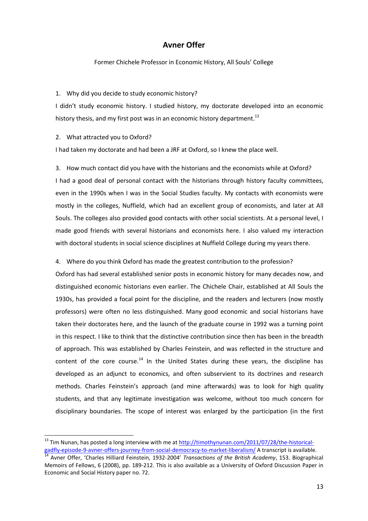## **Avner Offer**

Former Chichele Professor in Economic History, All Souls' College

#### 1. Why did you decide to study economic history?

I didn't study economic history. I studied history, my doctorate developed into an economic history thesis, and my first post was in an economic history department.<sup>13</sup>

#### 2. What attracted you to Oxford?

 $\overline{a}$ 

I had taken my doctorate and had been a JRF at Oxford, so I knew the place well.

3. How much contact did you have with the historians and the economists while at Oxford? I had a good deal of personal contact with the historians through history faculty committees, even in the 1990s when I was in the Social Studies faculty. My contacts with economists were mostly in the colleges, Nuffield, which had an excellent group of economists, and later at All Souls. The colleges also provided good contacts with other social scientists. At a personal level, I made good friends with several historians and economists here. I also valued my interaction with doctoral students in social science disciplines at Nuffield College during my years there.

#### 4. Where do you think Oxford has made the greatest contribution to the profession?

Oxford has had several established senior posts in economic history for many decades now, and distinguished economic historians even earlier. The Chichele Chair, established at All Souls the 1930s, has provided a focal point for the discipline, and the readers and lecturers (now mostly professors) were often no less distinguished. Many good economic and social historians have taken their doctorates here, and the launch of the graduate course in 1992 was a turning point in this respect. I like to think that the distinctive contribution since then has been in the breadth of approach. This was established by Charles Feinstein, and was reflected in the structure and content of the core course.<sup>14</sup> In the United States during these years, the discipline has developed as an adjunct to economics, and often subservient to its doctrines and research methods. Charles Feinstein's approach (and mine afterwards) was to look for high quality students, and that any legitimate investigation was welcome, without too much concern for disciplinary boundaries. The scope of interest was enlarged by the participation (in the first

<sup>&</sup>lt;sup>13</sup> Tim Nunan. has posted a long interview with me at [http://timothynunan.com/2011/07/28/the-historical](http://timothynunan.com/2011/07/28/the-historical-gadfly-episode-9-avner-offers-journey-from-social-democracy-to-market-liberalism/)[gadfly-episode-9-avner-offers-journey-from-social-democracy-to-market-liberalism/](http://timothynunan.com/2011/07/28/the-historical-gadfly-episode-9-avner-offers-journey-from-social-democracy-to-market-liberalism/) A transcript is available.

<sup>14</sup> Avner Offer, 'Charles Hilliard Feinstein, 1932-2004' *Transactions of the British Academy*, 153. Biographical Memoirs of Fellows, 6 (2008), pp. 189-212. This is also available as a University of Oxford Discussion Paper in Economic and Social History paper no. 72.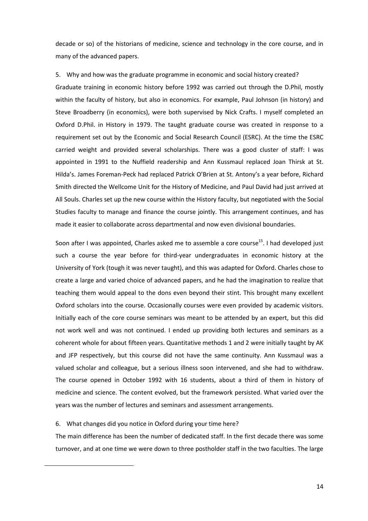decade or so) of the historians of medicine, science and technology in the core course, and in many of the advanced papers.

5. Why and how was the graduate programme in economic and social history created?

Graduate training in economic history before 1992 was carried out through the D.Phil, mostly within the faculty of history, but also in economics. For example, Paul Johnson (in history) and Steve Broadberry (in economics), were both supervised by Nick Crafts. I myself completed an Oxford D.Phil. in History in 1979. The taught graduate course was created in response to a requirement set out by the Economic and Social Research Council (ESRC). At the time the ESRC carried weight and provided several scholarships. There was a good cluster of staff: I was appointed in 1991 to the Nuffield readership and Ann Kussmaul replaced Joan Thirsk at St. Hilda's. James Foreman-Peck had replaced Patrick O'Brien at St. Antony's a year before, Richard Smith directed the Wellcome Unit for the History of Medicine, and Paul David had just arrived at All Souls. Charles set up the new course within the History faculty, but negotiated with the Social Studies faculty to manage and finance the course jointly. This arrangement continues, and has made it easier to collaborate across departmental and now even divisional boundaries.

Soon after I was appointed, Charles asked me to assemble a core course<sup>15</sup>. I had developed just such a course the year before for third-year undergraduates in economic history at the University of York (tough it was never taught), and this was adapted for Oxford. Charles chose to create a large and varied choice of advanced papers, and he had the imagination to realize that teaching them would appeal to the dons even beyond their stint. This brought many excellent Oxford scholars into the course. Occasionally courses were even provided by academic visitors. Initially each of the core course seminars was meant to be attended by an expert, but this did not work well and was not continued. I ended up providing both lectures and seminars as a coherent whole for about fifteen years. Quantitative methods 1 and 2 were initially taught by AK and JFP respectively, but this course did not have the same continuity. Ann Kussmaul was a valued scholar and colleague, but a serious illness soon intervened, and she had to withdraw. The course opened in October 1992 with 16 students, about a third of them in history of medicine and science. The content evolved, but the framework persisted. What varied over the years was the number of lectures and seminars and assessment arrangements.

#### 6. What changes did you notice in Oxford during your time here?

**.** 

The main difference has been the number of dedicated staff. In the first decade there was some turnover, and at one time we were down to three postholder staff in the two faculties. The large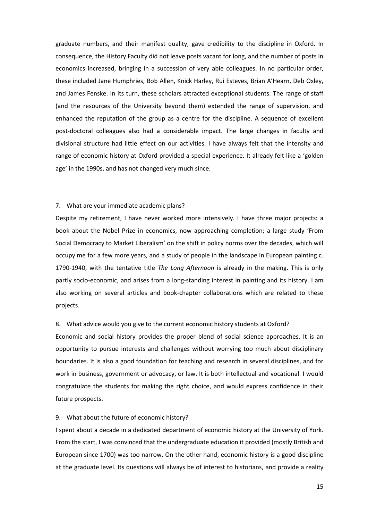graduate numbers, and their manifest quality, gave credibility to the discipline in Oxford. In consequence, the History Faculty did not leave posts vacant for long, and the number of posts in economics increased, bringing in a succession of very able colleagues. In no particular order, these included Jane Humphries, Bob Allen, Knick Harley, Rui Esteves, Brian A'Hearn, Deb Oxley, and James Fenske. In its turn, these scholars attracted exceptional students. The range of staff (and the resources of the University beyond them) extended the range of supervision, and enhanced the reputation of the group as a centre for the discipline. A sequence of excellent post-doctoral colleagues also had a considerable impact. The large changes in faculty and divisional structure had little effect on our activities. I have always felt that the intensity and range of economic history at Oxford provided a special experience. It already felt like a 'golden age' in the 1990s, and has not changed very much since.

#### 7. What are your immediate academic plans?

Despite my retirement, I have never worked more intensively. I have three major projects: a book about the Nobel Prize in economics, now approaching completion; a large study 'From Social Democracy to Market Liberalism' on the shift in policy norms over the decades, which will occupy me for a few more years, and a study of people in the landscape in European painting c. 1790-1940, with the tentative title *The Long Afternoon* is already in the making. This is only partly socio-economic, and arises from a long-standing interest in painting and its history. I am also working on several articles and book-chapter collaborations which are related to these projects.

#### 8. What advice would you give to the current economic history students at Oxford?

Economic and social history provides the proper blend of social science approaches. It is an opportunity to pursue interests and challenges without worrying too much about disciplinary boundaries. It is also a good foundation for teaching and research in several disciplines, and for work in business, government or advocacy, or law. It is both intellectual and vocational. I would congratulate the students for making the right choice, and would express confidence in their future prospects.

#### 9. What about the future of economic history?

I spent about a decade in a dedicated department of economic history at the University of York. From the start, I was convinced that the undergraduate education it provided (mostly British and European since 1700) was too narrow. On the other hand, economic history is a good discipline at the graduate level. Its questions will always be of interest to historians, and provide a reality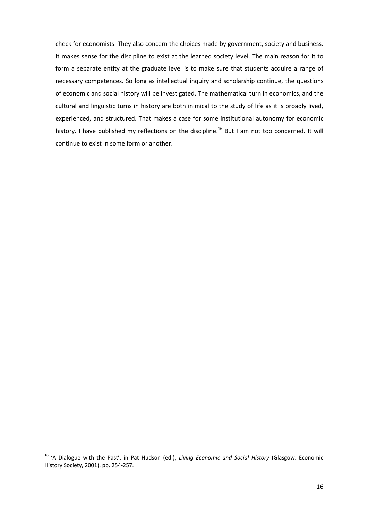check for economists. They also concern the choices made by government, society and business. It makes sense for the discipline to exist at the learned society level. The main reason for it to form a separate entity at the graduate level is to make sure that students acquire a range of necessary competences. So long as intellectual inquiry and scholarship continue, the questions of economic and social history will be investigated. The mathematical turn in economics, and the cultural and linguistic turns in history are both inimical to the study of life as it is broadly lived, experienced, and structured. That makes a case for some institutional autonomy for economic history. I have published my reflections on the discipline.<sup>16</sup> But I am not too concerned. It will continue to exist in some form or another.

<sup>16</sup> 'A Dialogue with the Past', in Pat Hudson (ed.), *Living Economic and Social History* (Glasgow: Economic History Society, 2001), pp. 254-257.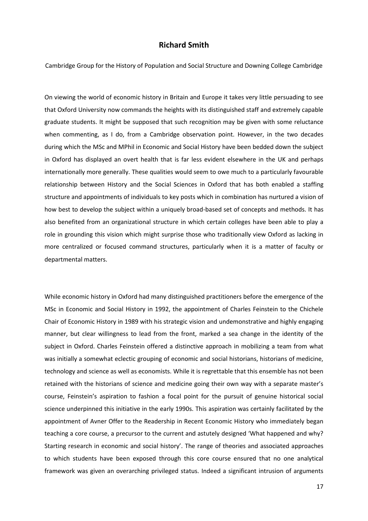### **Richard Smith**

Cambridge Group for the History of Population and Social Structure and Downing College Cambridge

On viewing the world of economic history in Britain and Europe it takes very little persuading to see that Oxford University now commands the heights with its distinguished staff and extremely capable graduate students. It might be supposed that such recognition may be given with some reluctance when commenting, as I do, from a Cambridge observation point. However, in the two decades during which the MSc and MPhil in Economic and Social History have been bedded down the subject in Oxford has displayed an overt health that is far less evident elsewhere in the UK and perhaps internationally more generally. These qualities would seem to owe much to a particularly favourable relationship between History and the Social Sciences in Oxford that has both enabled a staffing structure and appointments of individuals to key posts which in combination has nurtured a vision of how best to develop the subject within a uniquely broad-based set of concepts and methods. It has also benefited from an organizational structure in which certain colleges have been able to play a role in grounding this vision which might surprise those who traditionally view Oxford as lacking in more centralized or focused command structures, particularly when it is a matter of faculty or departmental matters.

While economic history in Oxford had many distinguished practitioners before the emergence of the MSc in Economic and Social History in 1992, the appointment of Charles Feinstein to the Chichele Chair of Economic History in 1989 with his strategic vision and undemonstrative and highly engaging manner, but clear willingness to lead from the front, marked a sea change in the identity of the subject in Oxford. Charles Feinstein offered a distinctive approach in mobilizing a team from what was initially a somewhat eclectic grouping of economic and social historians, historians of medicine, technology and science as well as economists. While it is regrettable that this ensemble has not been retained with the historians of science and medicine going their own way with a separate master's course, Feinstein's aspiration to fashion a focal point for the pursuit of genuine historical social science underpinned this initiative in the early 1990s. This aspiration was certainly facilitated by the appointment of Avner Offer to the Readership in Recent Economic History who immediately began teaching a core course, a precursor to the current and astutely designed 'What happened and why? Starting research in economic and social history'. The range of theories and associated approaches to which students have been exposed through this core course ensured that no one analytical framework was given an overarching privileged status. Indeed a significant intrusion of arguments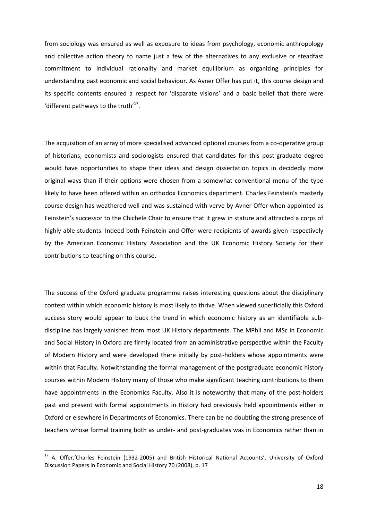from sociology was ensured as well as exposure to ideas from psychology, economic anthropology and collective action theory to name just a few of the alternatives to any exclusive or steadfast commitment to individual rationality and market equilibrium as organizing principles for understanding past economic and social behaviour. As Avner Offer has put it, this course design and its specific contents ensured a respect for 'disparate visions' and a basic belief that there were 'different pathways to the truth'<sup>17</sup>.

The acquisition of an array of more specialised advanced optional courses from a co-operative group of historians, economists and sociologists ensured that candidates for this post-graduate degree would have opportunities to shape their ideas and design dissertation topics in decidedly more original ways than if their options were chosen from a somewhat conventional menu of the type likely to have been offered within an orthodox Economics department. Charles Feinstein's masterly course design has weathered well and was sustained with verve by Avner Offer when appointed as Feinstein's successor to the Chichele Chair to ensure that it grew in stature and attracted a corps of highly able students. Indeed both Feinstein and Offer were recipients of awards given respectively by the American Economic History Association and the UK Economic History Society for their contributions to teaching on this course.

The success of the Oxford graduate programme raises interesting questions about the disciplinary context within which economic history is most likely to thrive. When viewed superficially this Oxford success story would appear to buck the trend in which economic history as an identifiable subdiscipline has largely vanished from most UK History departments. The MPhil and MSc in Economic and Social History in Oxford are firmly located from an administrative perspective within the Faculty of Modern History and were developed there initially by post-holders whose appointments were within that Faculty. Notwithstanding the formal management of the postgraduate economic history courses within Modern History many of those who make significant teaching contributions to them have appointments in the Economics Faculty. Also it is noteworthy that many of the post-holders past and present with formal appointments in History had previously held appointments either in Oxford or elsewhere in Departments of Economics. There can be no doubting the strong presence of teachers whose formal training both as under- and post-graduates was in Economics rather than in

<sup>&</sup>lt;sup>17</sup> A. Offer, 'Charles Feinstein (1932-2005) and British Historical National Accounts', University of Oxford Discussion Papers in Economic and Social History 70 (2008), p. 17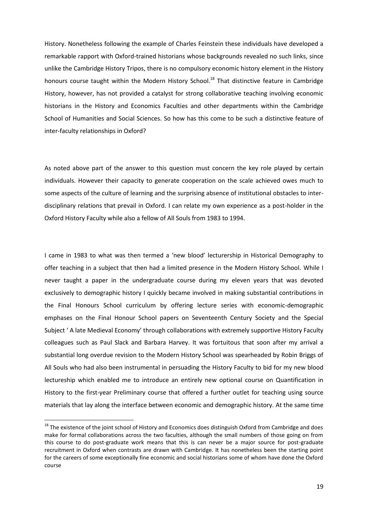History. Nonetheless following the example of Charles Feinstein these individuals have developed a remarkable rapport with Oxford-trained historians whose backgrounds revealed no such links, since unlike the Cambridge History Tripos, there is no compulsory economic history element in the History honours course taught within the Modern History School.<sup>18</sup> That distinctive feature in Cambridge History, however, has not provided a catalyst for strong collaborative teaching involving economic historians in the History and Economics Faculties and other departments within the Cambridge School of Humanities and Social Sciences. So how has this come to be such a distinctive feature of inter-faculty relationships in Oxford?

As noted above part of the answer to this question must concern the key role played by certain individuals. However their capacity to generate cooperation on the scale achieved owes much to some aspects of the culture of learning and the surprising absence of institutional obstacles to interdisciplinary relations that prevail in Oxford. I can relate my own experience as a post-holder in the Oxford History Faculty while also a fellow of All Souls from 1983 to 1994.

I came in 1983 to what was then termed a 'new blood' lecturership in Historical Demography to offer teaching in a subject that then had a limited presence in the Modern History School. While I never taught a paper in the undergraduate course during my eleven years that was devoted exclusively to demographic history I quickly became involved in making substantial contributions in the Final Honours School curriculum by offering lecture series with economic-demographic emphases on the Final Honour School papers on Seventeenth Century Society and the Special Subject ' A late Medieval Economy' through collaborations with extremely supportive History Faculty colleagues such as Paul Slack and Barbara Harvey. It was fortuitous that soon after my arrival a substantial long overdue revision to the Modern History School was spearheaded by Robin Briggs of All Souls who had also been instrumental in persuading the History Faculty to bid for my new blood lectureship which enabled me to introduce an entirely new optional course on Quantification in History to the first-year Preliminary course that offered a further outlet for teaching using source materials that lay along the interface between economic and demographic history. At the same time

 $\overline{a}$ 

<sup>&</sup>lt;sup>18</sup> The existence of the joint school of History and Economics does distinguish Oxford from Cambridge and does make for formal collaborations across the two faculties, although the small numbers of those going on from this course to do post-graduate work means that this is can never be a major source for post-graduate recruitment in Oxford when contrasts are drawn with Cambridge. It has nonetheless been the starting point for the careers of some exceptionally fine economic and social historians some of whom have done the Oxford course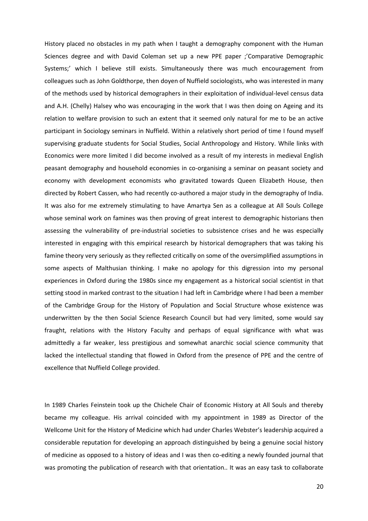History placed no obstacles in my path when I taught a demography component with the Human Sciences degree and with David Coleman set up a new PPE paper ;'Comparative Demographic Systems;' which I believe still exists. Simultaneously there was much encouragement from colleagues such as John Goldthorpe, then doyen of Nuffield sociologists, who was interested in many of the methods used by historical demographers in their exploitation of individual-level census data and A.H. (Chelly) Halsey who was encouraging in the work that I was then doing on Ageing and its relation to welfare provision to such an extent that it seemed only natural for me to be an active participant in Sociology seminars in Nuffield. Within a relatively short period of time I found myself supervising graduate students for Social Studies, Social Anthropology and History. While links with Economics were more limited I did become involved as a result of my interests in medieval English peasant demography and household economies in co-organising a seminar on peasant society and economy with development economists who gravitated towards Queen Elizabeth House, then directed by Robert Cassen, who had recently co-authored a major study in the demography of India. It was also for me extremely stimulating to have Amartya Sen as a colleague at All Souls College whose seminal work on famines was then proving of great interest to demographic historians then assessing the vulnerability of pre-industrial societies to subsistence crises and he was especially interested in engaging with this empirical research by historical demographers that was taking his famine theory very seriously as they reflected critically on some of the oversimplified assumptions in some aspects of Malthusian thinking. I make no apology for this digression into my personal experiences in Oxford during the 1980s since my engagement as a historical social scientist in that setting stood in marked contrast to the situation I had left in Cambridge where I had been a member of the Cambridge Group for the History of Population and Social Structure whose existence was underwritten by the then Social Science Research Council but had very limited, some would say fraught, relations with the History Faculty and perhaps of equal significance with what was admittedly a far weaker, less prestigious and somewhat anarchic social science community that lacked the intellectual standing that flowed in Oxford from the presence of PPE and the centre of excellence that Nuffield College provided.

In 1989 Charles Feinstein took up the Chichele Chair of Economic History at All Souls and thereby became my colleague. His arrival coincided with my appointment in 1989 as Director of the Wellcome Unit for the History of Medicine which had under Charles Webster's leadership acquired a considerable reputation for developing an approach distinguished by being a genuine social history of medicine as opposed to a history of ideas and I was then co-editing a newly founded journal that was promoting the publication of research with that orientation.. It was an easy task to collaborate

20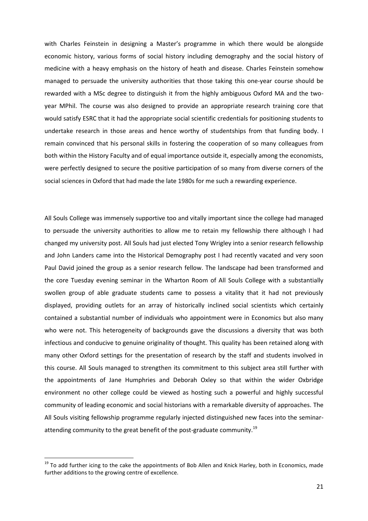with Charles Feinstein in designing a Master's programme in which there would be alongside economic history, various forms of social history including demography and the social history of medicine with a heavy emphasis on the history of heath and disease. Charles Feinstein somehow managed to persuade the university authorities that those taking this one-year course should be rewarded with a MSc degree to distinguish it from the highly ambiguous Oxford MA and the twoyear MPhil. The course was also designed to provide an appropriate research training core that would satisfy ESRC that it had the appropriate social scientific credentials for positioning students to undertake research in those areas and hence worthy of studentships from that funding body. I remain convinced that his personal skills in fostering the cooperation of so many colleagues from both within the History Faculty and of equal importance outside it, especially among the economists, were perfectly designed to secure the positive participation of so many from diverse corners of the social sciences in Oxford that had made the late 1980s for me such a rewarding experience.

All Souls College was immensely supportive too and vitally important since the college had managed to persuade the university authorities to allow me to retain my fellowship there although I had changed my university post. All Souls had just elected Tony Wrigley into a senior research fellowship and John Landers came into the Historical Demography post I had recently vacated and very soon Paul David joined the group as a senior research fellow. The landscape had been transformed and the core Tuesday evening seminar in the Wharton Room of All Souls College with a substantially swollen group of able graduate students came to possess a vitality that it had not previously displayed, providing outlets for an array of historically inclined social scientists which certainly contained a substantial number of individuals who appointment were in Economics but also many who were not. This heterogeneity of backgrounds gave the discussions a diversity that was both infectious and conducive to genuine originality of thought. This quality has been retained along with many other Oxford settings for the presentation of research by the staff and students involved in this course. All Souls managed to strengthen its commitment to this subject area still further with the appointments of Jane Humphries and Deborah Oxley so that within the wider Oxbridge environment no other college could be viewed as hosting such a powerful and highly successful community of leading economic and social historians with a remarkable diversity of approaches. The All Souls visiting fellowship programme regularly injected distinguished new faces into the seminarattending community to the great benefit of the post-graduate community.<sup>19</sup>

<sup>&</sup>lt;sup>19</sup> To add further icing to the cake the appointments of Bob Allen and Knick Harley, both in Economics, made further additions to the growing centre of excellence.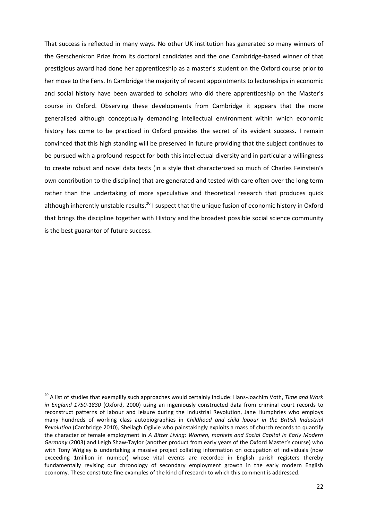That success is reflected in many ways. No other UK institution has generated so many winners of the Gerschenkron Prize from its doctoral candidates and the one Cambridge-based winner of that prestigious award had done her apprenticeship as a master's student on the Oxford course prior to her move to the Fens. In Cambridge the majority of recent appointments to lectureships in economic and social history have been awarded to scholars who did there apprenticeship on the Master's course in Oxford. Observing these developments from Cambridge it appears that the more generalised although conceptually demanding intellectual environment within which economic history has come to be practiced in Oxford provides the secret of its evident success. I remain convinced that this high standing will be preserved in future providing that the subject continues to be pursued with a profound respect for both this intellectual diversity and in particular a willingness to create robust and novel data tests (in a style that characterized so much of Charles Feinstein's own contribution to the discipline) that are generated and tested with care often over the long term rather than the undertaking of more speculative and theoretical research that produces quick although inherently unstable results.<sup>20</sup> I suspect that the unique fusion of economic history in Oxford that brings the discipline together with History and the broadest possible social science community is the best guarantor of future success.

<sup>20</sup> A list of studies that exemplify such approaches would certainly include: Hans-Joachim Voth, *Time and Work in England 1750-1830* (Oxford, 2000) using an ingeniously constructed data from criminal court records to reconstruct patterns of labour and leisure during the Industrial Revolution, Jane Humphries who employs many hundreds of working class autobiographies in *Childhood and child labour in the British Industrial Revolution* (Cambridge 2010)*,* Sheilagh Ogilvie who painstakingly exploits a mass of church records to quantify the character of female employment in *A Bitter Living: Women, markets and Social Capital in Early Modern Germany* (2003) and Leigh Shaw-Taylor (another product from early years of the Oxford Master's course) who with Tony Wrigley is undertaking a massive project collating information on occupation of individuals (now exceeding 1million in number) whose vital events are recorded in English parish registers thereby fundamentally revising our chronology of secondary employment growth in the early modern English economy. These constitute fine examples of the kind of research to which this comment is addressed.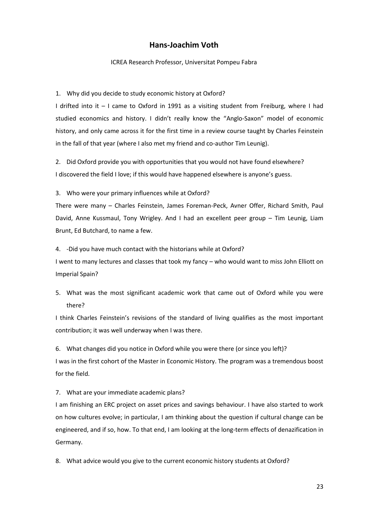## **Hans-Joachim Voth**

#### ICREA Research Professor, Universitat Pompeu Fabra

#### 1. Why did you decide to study economic history at Oxford?

I drifted into it – I came to Oxford in 1991 as a visiting student from Freiburg, where I had studied economics and history. I didn't really know the "Anglo-Saxon" model of economic history, and only came across it for the first time in a review course taught by Charles Feinstein in the fall of that year (where I also met my friend and co-author Tim Leunig).

2. Did Oxford provide you with opportunities that you would not have found elsewhere? I discovered the field I love; if this would have happened elsewhere is anyone's guess.

3. Who were your primary influences while at Oxford?

There were many – Charles Feinstein, James Foreman-Peck, Avner Offer, Richard Smith, Paul David, Anne Kussmaul, Tony Wrigley. And I had an excellent peer group – Tim Leunig, Liam Brunt, Ed Butchard, to name a few.

4. -Did you have much contact with the historians while at Oxford?

I went to many lectures and classes that took my fancy – who would want to miss John Elliott on Imperial Spain?

5. What was the most significant academic work that came out of Oxford while you were there?

I think Charles Feinstein's revisions of the standard of living qualifies as the most important contribution; it was well underway when I was there.

6. What changes did you notice in Oxford while you were there (or since you left)? I was in the first cohort of the Master in Economic History. The program was a tremendous boost for the field.

7. What are your immediate academic plans?

I am finishing an ERC project on asset prices and savings behaviour. I have also started to work on how cultures evolve; in particular, I am thinking about the question if cultural change can be engineered, and if so, how. To that end, I am looking at the long-term effects of denazification in Germany.

8. What advice would you give to the current economic history students at Oxford?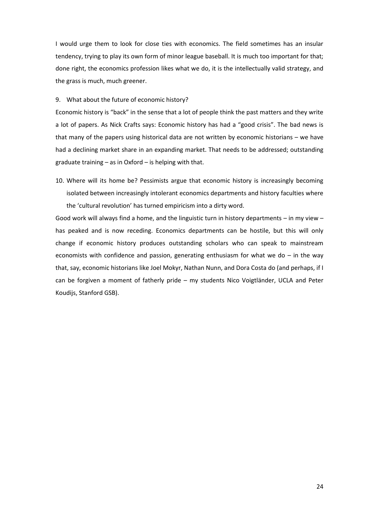I would urge them to look for close ties with economics. The field sometimes has an insular tendency, trying to play its own form of minor league baseball. It is much too important for that; done right, the economics profession likes what we do, it is the intellectually valid strategy, and the grass is much, much greener.

#### 9. What about the future of economic history?

Economic history is "back" in the sense that a lot of people think the past matters and they write a lot of papers. As Nick Crafts says: Economic history has had a "good crisis". The bad news is that many of the papers using historical data are not written by economic historians – we have had a declining market share in an expanding market. That needs to be addressed; outstanding graduate training – as in Oxford – is helping with that.

10. Where will its home be? Pessimists argue that economic history is increasingly becoming isolated between increasingly intolerant economics departments and history faculties where the 'cultural revolution' has turned empiricism into a dirty word.

Good work will always find a home, and the linguistic turn in history departments  $-$  in my view  $$ has peaked and is now receding. Economics departments can be hostile, but this will only change if economic history produces outstanding scholars who can speak to mainstream economists with confidence and passion, generating enthusiasm for what we do  $-$  in the way that, say, economic historians like Joel Mokyr, Nathan Nunn, and Dora Costa do (and perhaps, if I can be forgiven a moment of fatherly pride – my students Nico Voigtländer, UCLA and Peter Koudijs, Stanford GSB).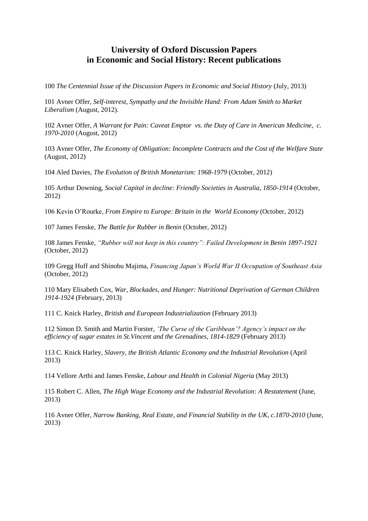# **University of Oxford Discussion Papers in Economic and Social History: Recent publications**

100 *The Centennial Issue of the Discussion Papers in Economic and Social History* (July, 2013)

101 Avner Offer, *Self-interest, Sympathy and the Invisible Hand: From Adam Smith to Market Liberalism* (August, 2012).

102 Avner Offer, *A Warrant for Pain: Caveat Emptor vs. the Duty of Care in American Medicine, c. 1970-2010* (August, 2012)

103 Avner Offer, *The Economy of Obligation: Incomplete Contracts and the Cost of the Welfare State*  (August, 2012)

104 Aled Davies, *The Evolution of British Monetarism: 1968-1979* (October, 2012)

105 Arthur Downing, *Social Capital in decline: Friendly Societies in Australia, 1850-1914* (October, 2012)

106 Kevin O'Rourke, *From Empire to Europe: Britain in the World Economy* (October, 2012)

107 James Fenske, *The Battle for Rubber in Benin* (October, 2012)

108 James Fenske, *"Rubber will not keep in this country": Failed Development in Benin 1897-1921* (October, 2012)

109 Gregg Huff and Shinobu Majima, *Financing Japan's World War II Occupation of Southeast Asia*  (October, 2012)

110 Mary Elisabeth Cox, *War, Blockades, and Hunger: Nutritional Deprivation of German Children 1914-1924* (February, 2013)

111 C. Knick Harley, *British and European Industrialization* (February 2013)

112 Simon D. Smith and Martin Forster, *'The Curse of the Caribbean'? Agency's impact on the efficiency of sugar estates in St.Vincent and the Grenadines, 1814-1829* (February 2013)

113 C. Knick Harley, *Slavery, the British Atlantic Economy and the Industrial Revolution* (April 2013)

114 Vellore Arthi and James Fenske, *Labour and Health in Colonial Nigeria* (May 2013)

115 Robert C. Allen, *The High Wage Economy and the Industrial Revolution: A Restatement* (June, 2013)

116 Avner Offer, *Narrow Banking, Real Estate, and Financial Stability in the UK, c.1870-2010* (June, 2013)